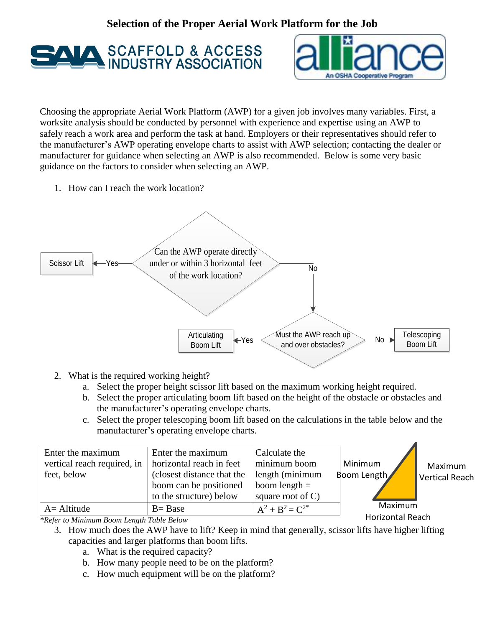## **Selection of the Proper Aerial Work Platform for the Job**





Choosing the appropriate Aerial Work Platform (AWP) for a given job involves many variables. First, a worksite analysis should be conducted by personnel with experience and expertise using an AWP to safely reach a work area and perform the task at hand. Employers or their representatives should refer to the manufacturer's AWP operating envelope charts to assist with AWP selection; contacting the dealer or manufacturer for guidance when selecting an AWP is also recommended. Below is some very basic guidance on the factors to consider when selecting an AWP.

1. How can I reach the work location?



- 2. What is the required working height?
	- a. Select the proper height scissor lift based on the maximum working height required.
	- b. Select the proper articulating boom lift based on the height of the obstacle or obstacles and the manufacturer's operating envelope charts.
	- c. Select the proper telescoping boom lift based on the calculations in the table below and the manufacturer's operating envelope charts.

| Enter the maximum                                              | Enter the maximum          | Calculate the        |             |                |
|----------------------------------------------------------------|----------------------------|----------------------|-------------|----------------|
| vertical reach required, in                                    | horizontal reach in feet   | minimum boom         | Minimum     | Maximum        |
| feet, below                                                    | (closest distance that the | length (minimum      | Boom Length | Vertical Reach |
|                                                                | boom can be positioned     | boom length $=$      |             |                |
|                                                                | to the structure) below    | square root of $C$ ) |             |                |
| $A =$ Altitude                                                 | $B = Base$                 | $A^2 + B^2 = C^{2*}$ | Maximum     |                |
| $*$ <i>P</i> of an to Minimum <i>Poom I quath Table Polari</i> | <b>Horizontal Reach</b>    |                      |             |                |

*\*Refer to Minimum Boom Length Table Below*

- 3. How much does the AWP have to lift? Keep in mind that generally, scissor lifts have higher lifting capacities and larger platforms than boom lifts.
	- a. What is the required capacity?
	- b. How many people need to be on the platform?
	- c. How much equipment will be on the platform?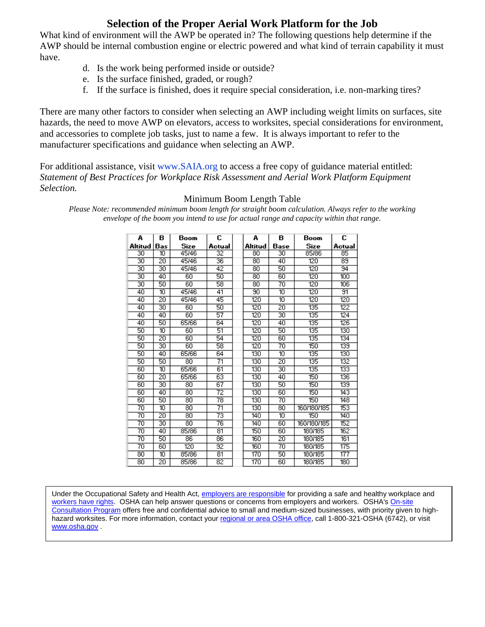## **Selection of the Proper Aerial Work Platform for the Job**

What kind of environment will the AWP be operated in? The following questions help determine if the AWP should be internal combustion engine or electric powered and what kind of terrain capability it must have.

- d. Is the work being performed inside or outside?
- e. Is the surface finished, graded, or rough?
- f. If the surface is finished, does it require special consideration, i.e. non-marking tires?

There are many other factors to consider when selecting an AWP including weight limits on surfaces, site hazards, the need to move AWP on elevators, access to worksites, special considerations for environment, and accessories to complete job tasks, just to name a few. It is always important to refer to the manufacturer specifications and guidance when selecting an AWP.

For additional assistance, visit www.SAIA.org to access a free copy of guidance material entitled: *Statement of Best Practices for Workplace Risk Assessment and Aerial Work Platform Equipment Selection.*

| А       | в               | Boom  | c      | А       | в    | Boom        | C                |
|---------|-----------------|-------|--------|---------|------|-------------|------------------|
| Altitud | Bas             | Size  | Actual | Altitud | Base | Size        | Actual           |
| 30      | 10              | 45/46 | 32     | 80      | 30   | 85/86       | 85               |
| 30      | $\overline{20}$ | 45/46 | 36     | 80      | 40   | 120         | 89               |
| 30      | 30              | 45/46 | 42     | 80      | 50   | 120         | 94               |
| 30      | 40              | 60    | 50     | 80      | 60   | 120         | 100              |
| 30      | 50              | 60    | 58     | 80      | 70   | 120         | 106              |
| 40      | 10              | 45/46 | 41     | 90      | 10   | 120         | 91               |
| 40      | $\overline{20}$ | 45/46 | 45     | 120     | 10   | 120         | 120              |
| 40      | 30              | 60    | 50     | 120     | 20   | 135         | 122              |
| 40      | 40              | 60    | 57     | 120     | 30   | 135         | 124              |
| 40      | 50              | 65/66 | 64     | 120     | 40   | 135         | 126              |
| 50      | 10              | 60    | 51     | 120     | 50   | 135         | 130              |
| 50      | 20              | 60    | 54     | 120     | 60   | 135         | 134              |
| 50      | 30              | 60    | 58     | 120     | 70   | 150         | 139              |
| 50      | 40              | 65/66 | 64     | 130     | 10   | 135         | 130              |
| 50      | 50              | 80    | 71     | 130     | 20   | 135         | 132              |
| 60      | 10              | 65/66 | 61     | 130     | 30   | 135         | $\overline{133}$ |
| 60      | 20              | 65/66 | 63     | 130     | 40   | 150         | 136              |
| 60      | 30              | 80    | 67     | 130     | 50   | 150         | 139              |
| 60      | 40              | 80    | 72     | 130     | 60   | 150         | 143              |
| 60      | 50              | 80    | 78     | 130     | 70   | 150         | 148              |
| 70      | 10              | 80    | 71     | 130     | 80   | 160/180/185 | 153              |
| 70      | 20              | 80    | 73     | 140     | 10   | 150         | 140              |
| 70      | 30              | 80    | 76     | 140     | 60   | 160/180/185 | 152              |
| 70      | 40              | 85/86 | 81     | 150     | 60   | 180/185     | 162              |
| 70      | 50              | 86    | 86     | 160     | 20   | 180/185     | 161              |
| 70      | 60              | 120   | 92     | 160     | 70   | 180/185     | 175              |
| 80      | 10              | 85/86 | 81     | 170     | 50   | 180/185     | 177              |
| 80      | 20              | 85/86 | 82     | 170     | 60   | 180/185     | 180              |

## Minimum Boom Length Table

*Please Note: recommended minimum boom length for straight boom calculation. Always refer to the working envelope of the boom you intend to use for actual range and capacity within that range.*

Under the Occupational Safety and Health Act[, employers are responsible](http://www.osha.gov/as/opa/worker/employer-responsibility.html) for providing a safe and healthy workplace and [workers have rights.](http://www.osha.gov/workers.html) OSHA can help answer questions or concerns from employers and workers. OSHA'[s On-site](https://www.osha.gov/dcsp/smallbusiness/consult.html)  [Consultation Program](https://www.osha.gov/dcsp/smallbusiness/consult.html) offers free and confidential advice to small and medium-sized businesses, with priority given to highhazard worksites. For more information, contact your [regional or area OSHA office,](http://www.osha.gov/html/RAmap.html) call 1-800-321-OSHA (6742), or visit [www.osha.gov](http://www.osha.gov/) .